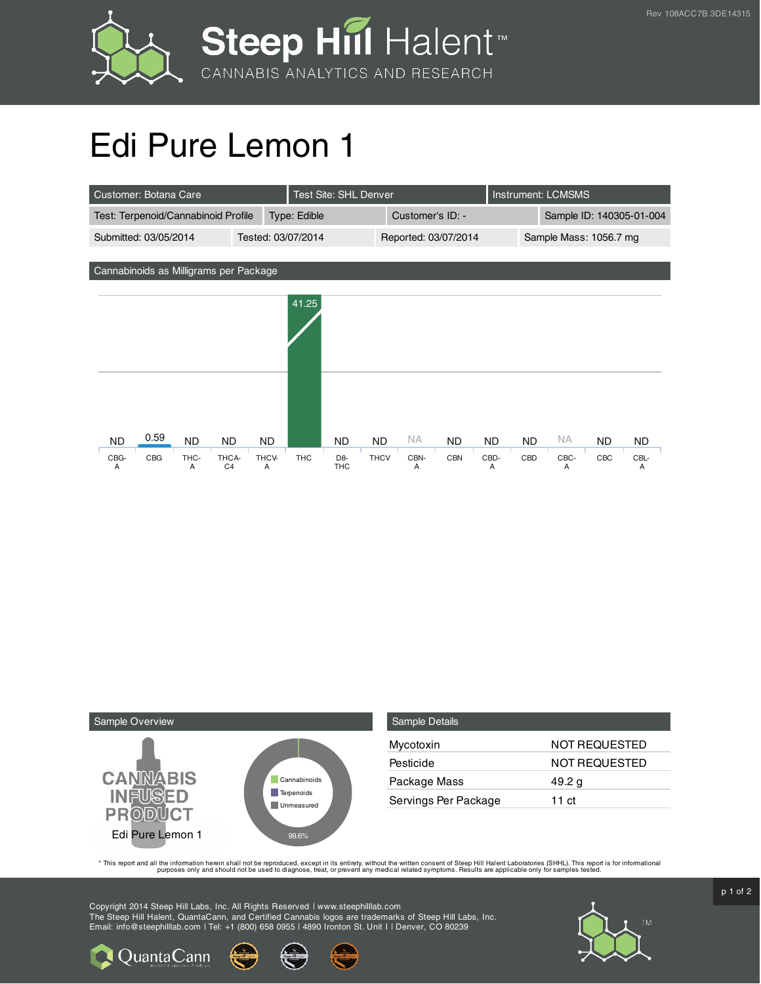

## Edi Pure Lemon 1

| Customer: Botana Care                                      |                     | <b>Test Site: SHL Denver</b>    |                        |                             | Instrument: LCMSMS       |     |                |  |  |
|------------------------------------------------------------|---------------------|---------------------------------|------------------------|-----------------------------|--------------------------|-----|----------------|--|--|
| Test: Terpenoid/Cannabinoid Profile<br><b>Type: Edible</b> |                     |                                 | Customer's ID: -       |                             | Sample ID: 140305-01-004 |     |                |  |  |
| Submitted: 03/05/2014                                      | Tested: 03/07/2014  |                                 | Reported: 03/07/2014   |                             | Sample Mass: 1056.7 mg   |     |                |  |  |
|                                                            |                     |                                 |                        |                             |                          |     |                |  |  |
| Cannabinoids as Milligrams per Package                     |                     |                                 |                        |                             |                          |     |                |  |  |
|                                                            | 41.25               |                                 |                        |                             |                          |     |                |  |  |
|                                                            |                     |                                 |                        |                             |                          |     |                |  |  |
|                                                            |                     |                                 |                        |                             |                          |     |                |  |  |
|                                                            |                     |                                 |                        |                             |                          |     |                |  |  |
|                                                            |                     |                                 |                        |                             |                          |     |                |  |  |
|                                                            |                     |                                 |                        |                             |                          |     |                |  |  |
|                                                            |                     |                                 |                        |                             |                          |     |                |  |  |
| 0.59<br><b>ND</b>                                          |                     | <b>ND</b>                       | <b>NA</b><br><b>ND</b> |                             | <b>NA</b>                |     |                |  |  |
| CBG<br>THC-<br>THCA-<br>CBG-                               | THCV-<br><b>THC</b> | <b>THCV</b><br>D <sub>8</sub> - | CBN-<br><b>CBN</b>     | CBD-<br>CBD                 | CBC-                     | CBC | CBL-           |  |  |
| <b>ND</b><br><b>ND</b><br>C <sub>4</sub><br>A<br>A         | <b>ND</b><br>A      | <b>ND</b><br><b>THC</b>         | A                      | <b>ND</b><br><b>ND</b><br>A | A                        | ND. | <b>ND</b><br>Α |  |  |



Quanta Cann

| <b>Sample Details</b> |                      |
|-----------------------|----------------------|
| Mycotoxin             | NOT REQUESTED        |
| Pesticide             | <b>NOT REQUESTED</b> |
| Package Mass          | 49.2 g               |
| Servings Per Package  | 11 ct                |

This report and all the information herein shall not be reporduced, except in its entirety, without the written consent of Steep Hill Halent Laboratories (SHHL). This report is for informational all the instance, treat, or

Copyright 2014 Steep Hill Labs, Inc. All Rights Reserved | www.steephilllab.com The Steep Hill Halent, QuantaCann, and Certified Cannabis logos are trademarks of Steep Hill Labs, Inc. Email: info@steephilllab.com | Tel: +1 (800) 658 0955 | 4890 Ironton St. Unit I | Denver, CO 80239



 $p$  1 of 2